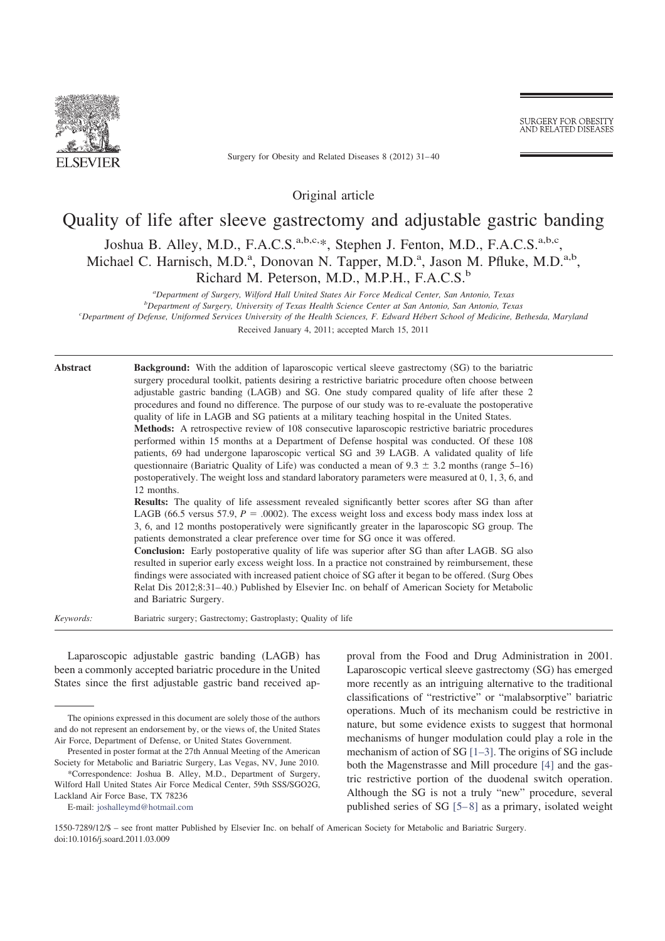

Surgery for Obesity and Related Diseases 8 (2012) 31-40

SURGERY FOR OBESITY<br>AND RELATED DISEASES

Original article

# Quality of life after sleeve gastrectomy and adjustable gastric banding

Joshua B. Alley, M.D., F.A.C.S.<sup>a,b,c,\*</sup>, Stephen J. Fenton, M.D., F.A.C.S.<sup>a,b,c</sup>, Michael C. Harnisch, M.D.<sup>a</sup>, Donovan N. Tapper, M.D.<sup>a</sup>, Jason M. Pfluke, M.D.<sup>a,b</sup>, Richard M. Peterson, M.D., M.P.H., F.A.C.S.<sup>b</sup>

*a Department of Surgery, Wilford Hall United States Air Force Medical Center, San Antonio, Texas*

*b Department of Surgery, University of Texas Health Science Center at San Antonio, San Antonio, Texas*

*c Department of Defense, Uniformed Services University of the Health Sciences, F. Edward Hébert School of Medicine, Bethesda, Maryland*

Received January 4, 2011; accepted March 15, 2011

**Abstract** Background: With the addition of laparoscopic vertical sleeve gastrectomy (SG) to the bariatric surgery procedural toolkit, patients desiring a restrictive bariatric procedure often choose between adjustable gastric banding (LAGB) and SG. One study compared quality of life after these 2 procedures and found no difference. The purpose of our study was to re-evaluate the postoperative quality of life in LAGB and SG patients at a military teaching hospital in the United States.

> **Methods:** A retrospective review of 108 consecutive laparoscopic restrictive bariatric procedures performed within 15 months at a Department of Defense hospital was conducted. Of these 108 patients, 69 had undergone laparoscopic vertical SG and 39 LAGB. A validated quality of life questionnaire (Bariatric Quality of Life) was conducted a mean of  $9.3 \pm 3.2$  months (range 5–16) postoperatively. The weight loss and standard laboratory parameters were measured at 0, 1, 3, 6, and 12 months.

> **Results:** The quality of life assessment revealed significantly better scores after SG than after LAGB (66.5 versus 57.9,  $P = .0002$ ). The excess weight loss and excess body mass index loss at 3, 6, and 12 months postoperatively were significantly greater in the laparoscopic SG group. The patients demonstrated a clear preference over time for SG once it was offered.

> **Conclusion:** Early postoperative quality of life was superior after SG than after LAGB. SG also resulted in superior early excess weight loss. In a practice not constrained by reimbursement, these findings were associated with increased patient choice of SG after it began to be offered. (Surg Obes Relat Dis 2012;8:31-40.) Published by Elsevier Inc. on behalf of American Society for Metabolic and Bariatric Surgery.

*Keywords:* Bariatric surgery; Gastrectomy; Gastroplasty; Quality of life

Laparoscopic adjustable gastric banding (LAGB) has been a commonly accepted bariatric procedure in the United States since the first adjustable gastric band received ap-

\*Correspondence: Joshua B. Alley, M.D., Department of Surgery, Wilford Hall United States Air Force Medical Center, 59th SSS/SGO2G, Lackland Air Force Base, TX 78236

E-mail: joshalleymd@hotmail.com

proval from the Food and Drug Administration in 2001. Laparoscopic vertical sleeve gastrectomy (SG) has emerged more recently as an intriguing alternative to the traditional classifications of "restrictive" or "malabsorptive" bariatric operations. Much of its mechanism could be restrictive in nature, but some evidence exists to suggest that hormonal mechanisms of hunger modulation could play a role in the mechanism of action of SG [1–3]. The origins of SG include both the Magenstrasse and Mill procedure [4] and the gastric restrictive portion of the duodenal switch operation. Although the SG is not a truly "new" procedure, several published series of SG  $[5-8]$  as a primary, isolated weight

The opinions expressed in this document are solely those of the authors and do not represent an endorsement by, or the views of, the United States Air Force, Department of Defense, or United States Government.

Presented in poster format at the 27th Annual Meeting of the American Society for Metabolic and Bariatric Surgery, Las Vegas, NV, June 2010.

<sup>1550-7289/12/\$ –</sup> see front matter Published by Elsevier Inc. on behalf of American Society for Metabolic and Bariatric Surgery. doi:10.1016/j.soard.2011.03.009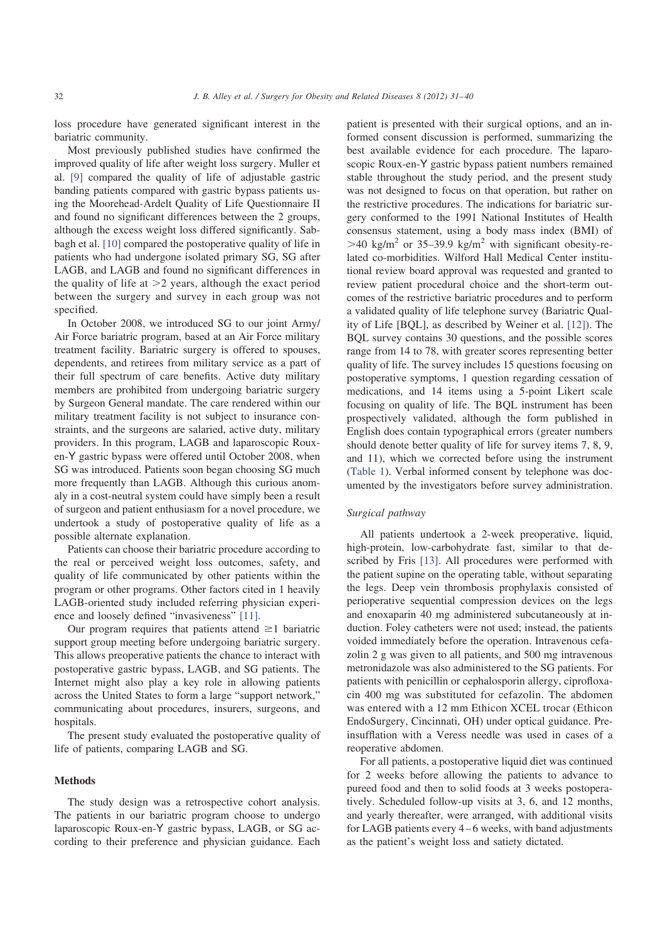loss procedure have generated significant interest in the bariatric community.

Most previously published studies have confirmed the improved quality of life after weight loss surgery. Muller et al. [9] compared the quality of life of adjustable gastric banding patients compared with gastric bypass patients using the Moorehead-Ardelt Quality of Life Questionnaire II and found no significant differences between the 2 groups, although the excess weight loss differed significantly. Sabbagh et al. [10] compared the postoperative quality of life in patients who had undergone isolated primary SG, SG after LAGB, and LAGB and found no significant differences in the quality of life at  $>2$  years, although the exact period between the surgery and survey in each group was not specified.

In October 2008, we introduced SG to our joint Army/ Air Force bariatric program, based at an Air Force military treatment facility. Bariatric surgery is offered to spouses, dependents, and retirees from military service as a part of their full spectrum of care benefits. Active duty military members are prohibited from undergoing bariatric surgery by Surgeon General mandate. The care rendered within our military treatment facility is not subject to insurance constraints, and the surgeons are salaried, active duty, military providers. In this program, LAGB and laparoscopic Rouxen-Y gastric bypass were offered until October 2008, when SG was introduced. Patients soon began choosing SG much more frequently than LAGB. Although this curious anomaly in a cost-neutral system could have simply been a result of surgeon and patient enthusiasm for a novel procedure, we undertook a study of postoperative quality of life as a possible alternate explanation.

Patients can choose their bariatric procedure according to the real or perceived weight loss outcomes, safety, and quality of life communicated by other patients within the program or other programs. Other factors cited in 1 heavily LAGB-oriented study included referring physician experience and loosely defined "invasiveness" [11].

Our program requires that patients attend  $\geq 1$  bariatric support group meeting before undergoing bariatric surgery. This allows preoperative patients the chance to interact with postoperative gastric bypass, LAGB, and SG patients. The Internet might also play a key role in allowing patients across the United States to form a large "support network," communicating about procedures, insurers, surgeons, and hospitals.

The present study evaluated the postoperative quality of life of patients, comparing LAGB and SG.

## **Methods**

The study design was a retrospective cohort analysis. The patients in our bariatric program choose to undergo laparoscopic Roux-en-Y gastric bypass, LAGB, or SG according to their preference and physician guidance. Each patient is presented with their surgical options, and an informed consent discussion is performed, summarizing the best available evidence for each procedure. The laparoscopic Roux-en-Y gastric bypass patient numbers remained stable throughout the study period, and the present study was not designed to focus on that operation, but rather on the restrictive procedures. The indications for bariatric surgery conformed to the 1991 National Institutes of Health consensus statement, using a body mass index (BMI) of  $>$ 40 kg/m<sup>2</sup> or 35–39.9 kg/m<sup>2</sup> with significant obesity-related co-morbidities. Wilford Hall Medical Center institutional review board approval was requested and granted to review patient procedural choice and the short-term outcomes of the restrictive bariatric procedures and to perform a validated quality of life telephone survey (Bariatric Quality of Life [BQL], as described by Weiner et al. [12]). The BQL survey contains 30 questions, and the possible scores range from 14 to 78, with greater scores representing better quality of life. The survey includes 15 questions focusing on postoperative symptoms, 1 question regarding cessation of medications, and 14 items using a 5-point Likert scale focusing on quality of life. The BQL instrument has been prospectively validated, although the form published in English does contain typographical errors (greater numbers should denote better quality of life for survey items 7, 8, 9, and 11), which we corrected before using the instrument (Table 1). Verbal informed consent by telephone was documented by the investigators before survey administration.

#### *Surgical pathway*

All patients undertook a 2-week preoperative, liquid, high-protein, low-carbohydrate fast, similar to that described by Fris [13]. All procedures were performed with the patient supine on the operating table, without separating the legs. Deep vein thrombosis prophylaxis consisted of perioperative sequential compression devices on the legs and enoxaparin 40 mg administered subcutaneously at induction. Foley catheters were not used; instead, the patients voided immediately before the operation. Intravenous cefazolin 2 g was given to all patients, and 500 mg intravenous metronidazole was also administered to the SG patients. For patients with penicillin or cephalosporin allergy, ciprofloxacin 400 mg was substituted for cefazolin. The abdomen was entered with a 12 mm Ethicon XCEL trocar (Ethicon EndoSurgery, Cincinnati, OH) under optical guidance. Preinsufflation with a Veress needle was used in cases of a reoperative abdomen.

For all patients, a postoperative liquid diet was continued for 2 weeks before allowing the patients to advance to pureed food and then to solid foods at 3 weeks postoperatively. Scheduled follow-up visits at 3, 6, and 12 months, and yearly thereafter, were arranged, with additional visits for LAGB patients every 4 – 6 weeks, with band adjustments as the patient's weight loss and satiety dictated.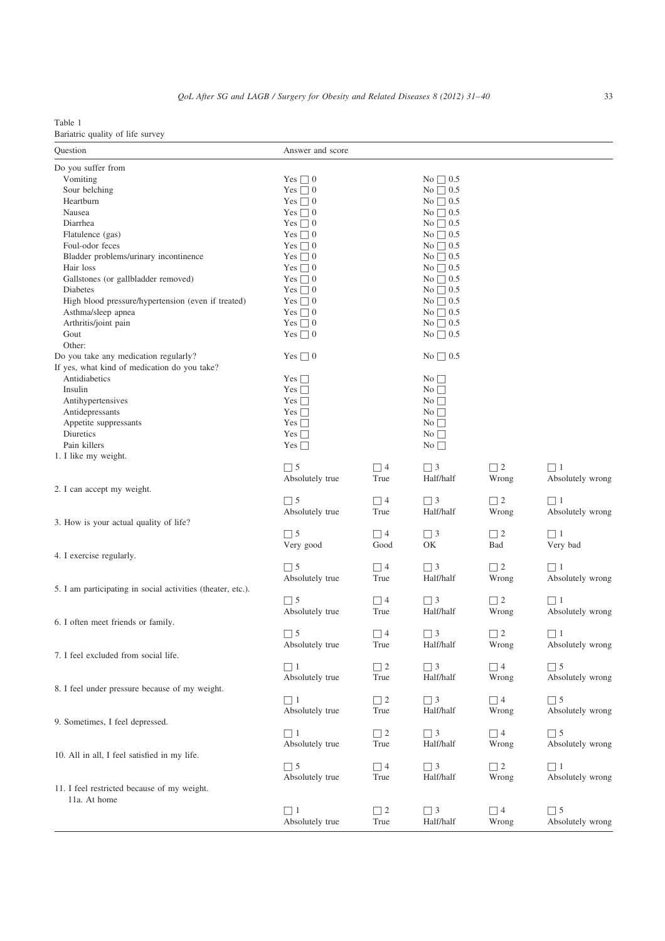| Table 1                          |  |  |
|----------------------------------|--|--|
| Bariatric quality of life survey |  |  |

| Question                                                    | Answer and score |          |                 |          |                  |
|-------------------------------------------------------------|------------------|----------|-----------------|----------|------------------|
| Do you suffer from                                          |                  |          |                 |          |                  |
| Vomiting                                                    | Yes $\Box$ 0     |          | No $\Box$ 0.5   |          |                  |
| Sour belching                                               | Yes $\Box$ 0     |          | No $\Box$ 0.5   |          |                  |
| Heartburn                                                   | Yes $\Box$ 0     |          | No $\Box$ 0.5   |          |                  |
| Nausea                                                      | Yes $\Box$ 0     |          | No $\Box$ 0.5   |          |                  |
| Diarrhea                                                    | Yes $\Box$ 0     |          | No $\Box$ 0.5   |          |                  |
| Flatulence (gas)                                            | Yes $\Box$ 0     |          | No $\Box$ 0.5   |          |                  |
| Foul-odor feces                                             | Yes $\Box$ 0     |          | No $\Box$ 0.5   |          |                  |
| Bladder problems/urinary incontinence                       | Yes $\Box$ 0     |          | No $\Box$ 0.5   |          |                  |
| Hair loss                                                   | Yes $\Box$ 0     |          | No $\Box$ 0.5   |          |                  |
| Gallstones (or gallbladder removed)                         | Yes $\Box$ 0     |          | No $\Box$ 0.5   |          |                  |
| Diabetes                                                    | Yes $\Box$ 0     |          | No $\Box$ 0.5   |          |                  |
| High blood pressure/hypertension (even if treated)          | Yes $\Box$ 0     |          | No $\Box$ 0.5   |          |                  |
| Asthma/sleep apnea                                          | Yes $\Box$ 0     |          | No $\Box$ 0.5   |          |                  |
| Arthritis/joint pain                                        |                  |          |                 |          |                  |
|                                                             | Yes $\Box$ 0     |          | No $\Box$ 0.5   |          |                  |
| Gout                                                        | Yes $\Box$ 0     |          | No $\Box$ 0.5   |          |                  |
| Other:                                                      |                  |          |                 |          |                  |
| Do you take any medication regularly?                       | Yes $\Box$ 0     |          | No $\Box$ 0.5   |          |                  |
| If yes, what kind of medication do you take?                |                  |          |                 |          |                  |
| Antidiabetics                                               | Yes $\Box$       |          | $\rm No$ $\Box$ |          |                  |
| Insulin                                                     | Yes $\Box$       |          | $\rm No$ $\Box$ |          |                  |
| Antihypertensives                                           | Yes $\Box$       |          | No              |          |                  |
| Antidepressants                                             | Yes $\Box$       |          | $\rm No$ $\Box$ |          |                  |
| Appetite suppressants                                       | Yes $\Box$       |          | $\rm No$ $\Box$ |          |                  |
| Diuretics                                                   | Yes $\Box$       |          | $\rm No$ $\Box$ |          |                  |
| Pain killers                                                | Yes $\Box$       |          | $\rm No$ $\Box$ |          |                  |
| 1. I like my weight.                                        |                  |          |                 |          |                  |
|                                                             | $\Box$ 5         | $\Box$ 4 | $\Box$ 3        | $\Box$ 2 | $\Box$ 1         |
|                                                             | Absolutely true  | True     | Half/half       | Wrong    | Absolutely wrong |
| 2. I can accept my weight.                                  |                  |          |                 |          |                  |
|                                                             | $\Box$ 5         | $\Box$ 4 | $\Box$ 3        | $\Box$ 2 | $\Box$ 1         |
|                                                             | Absolutely true  | True     | Half/half       | Wrong    | Absolutely wrong |
| 3. How is your actual quality of life?                      |                  |          |                 |          |                  |
|                                                             | $\Box$ 5         | $\Box$ 4 | $\Box$ 3        | $\Box$ 2 | $\Box$ 1         |
|                                                             | Very good        | Good     | ОK              | Bad      | Very bad         |
| 4. I exercise regularly.                                    |                  |          |                 |          |                  |
|                                                             | $\Box$ 5         | $\Box$ 4 | $\Box$ 3        | $\Box$ 2 | $\Box$ 1         |
|                                                             | Absolutely true  | True     | Half/half       | Wrong    | Absolutely wrong |
| 5. I am participating in social activities (theater, etc.). |                  |          |                 |          |                  |
|                                                             | $\Box$ 5         | $\Box$ 4 | $\Box$ 3        | $\Box$ 2 | $\Box$ 1         |
|                                                             | Absolutely true  | True     | Half/half       | Wrong    | Absolutely wrong |
| 6. I often meet friends or family.                          |                  |          |                 |          |                  |
|                                                             | $\Box$ 5         | $\Box$ 4 | $\Box$ 3        | $\Box$ 2 | $\Box$ 1         |
|                                                             | Absolutely true  | True     | Half/half       | Wrong    | Absolutely wrong |
| 7. I feel excluded from social life.                        |                  |          |                 |          |                  |
|                                                             | $\Box$ 1         | $\Box$ 2 | $\Box$ 3        | $\Box$ 4 | $\Box$ 5         |
|                                                             | Absolutely true  | True     | Half/half       | Wrong    | Absolutely wrong |
| 8. I feel under pressure because of my weight.              |                  |          |                 |          |                  |
|                                                             | $\Box$ 1         | $\Box$ 2 | $\Box$ 3        | $\Box$ 4 | $\Box$ 5         |
|                                                             |                  |          |                 |          |                  |
| 9. Sometimes, I feel depressed.                             | Absolutely true  | True     | Half/half       | Wrong    | Absolutely wrong |
|                                                             |                  |          |                 |          |                  |
|                                                             | $\Box$ 1         | $\Box$ 2 | $\Box$ 3        | $\Box$ 4 | $\Box$ 5         |
|                                                             | Absolutely true  | True     | Half/half       | Wrong    | Absolutely wrong |
| 10. All in all, I feel satisfied in my life.                |                  |          |                 |          |                  |
|                                                             | $\Box$ 5         | $\Box$ 4 | $\Box$ 3        | $\Box$ 2 | $\Box$ 1         |
|                                                             | Absolutely true  | True     | Half/half       | Wrong    | Absolutely wrong |
| 11. I feel restricted because of my weight.                 |                  |          |                 |          |                  |
| 11a. At home                                                |                  |          |                 |          |                  |
|                                                             | $\Box$ 1         | $\Box$ 2 | $\Box$ 3        | $\Box$ 4 | $\Box$ 5         |
|                                                             | Absolutely true  | True     | Half/half       | Wrong    | Absolutely wrong |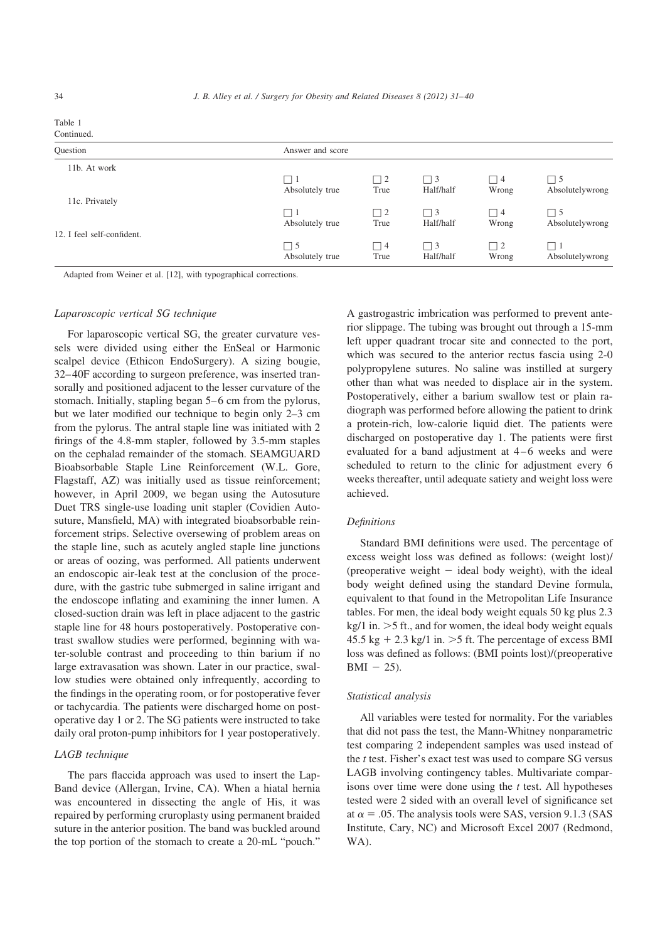| Continued.                 |                             |                  |                       |                        |                             |
|----------------------------|-----------------------------|------------------|-----------------------|------------------------|-----------------------------|
| Question                   | Answer and score            |                  |                       |                        |                             |
| 11b. At work               | $\Box$<br>Absolutely true   | $\Box$ 2<br>True | $\Box$ 3<br>Half/half | $\sqsupset$ 4<br>Wrong | $\Box$ 5<br>Absolutelywrong |
| 11c. Privately             | $\Box$ 1<br>Absolutely true | $\Box$ 2<br>True | $\Box$ 3<br>Half/half | $\Box$ 4<br>Wrong      | $\Box$ 5<br>Absolutelywrong |
| 12. I feel self-confident. | $\Box$ 5<br>Absolutely true | $\Box$ 4<br>True | $\Box$ 3<br>Half/half | $\sqsupset$ 2<br>Wrong | Absolutelywrong             |

Adapted from Weiner et al. [12], with typographical corrections.

# *Laparoscopic vertical SG technique*

For laparoscopic vertical SG, the greater curvature vessels were divided using either the EnSeal or Harmonic scalpel device (Ethicon EndoSurgery). A sizing bougie, 32– 40F according to surgeon preference, was inserted transorally and positioned adjacent to the lesser curvature of the stomach. Initially, stapling began 5–6 cm from the pylorus, but we later modified our technique to begin only 2–3 cm from the pylorus. The antral staple line was initiated with 2 firings of the 4.8-mm stapler, followed by 3.5-mm staples on the cephalad remainder of the stomach. SEAMGUARD Bioabsorbable Staple Line Reinforcement (W.L. Gore, Flagstaff, AZ) was initially used as tissue reinforcement; however, in April 2009, we began using the Autosuture Duet TRS single-use loading unit stapler (Covidien Autosuture, Mansfield, MA) with integrated bioabsorbable reinforcement strips. Selective oversewing of problem areas on the staple line, such as acutely angled staple line junctions or areas of oozing, was performed. All patients underwent an endoscopic air-leak test at the conclusion of the procedure, with the gastric tube submerged in saline irrigant and the endoscope inflating and examining the inner lumen. A closed-suction drain was left in place adjacent to the gastric staple line for 48 hours postoperatively. Postoperative contrast swallow studies were performed, beginning with water-soluble contrast and proceeding to thin barium if no large extravasation was shown. Later in our practice, swallow studies were obtained only infrequently, according to the findings in the operating room, or for postoperative fever or tachycardia. The patients were discharged home on postoperative day 1 or 2. The SG patients were instructed to take daily oral proton-pump inhibitors for 1 year postoperatively.

# *LAGB technique*

The pars flaccida approach was used to insert the Lap-Band device (Allergan, Irvine, CA). When a hiatal hernia was encountered in dissecting the angle of His, it was repaired by performing cruroplasty using permanent braided suture in the anterior position. The band was buckled around the top portion of the stomach to create a 20-mL "pouch." A gastrogastric imbrication was performed to prevent anterior slippage. The tubing was brought out through a 15-mm left upper quadrant trocar site and connected to the port, which was secured to the anterior rectus fascia using 2-0 polypropylene sutures. No saline was instilled at surgery other than what was needed to displace air in the system. Postoperatively, either a barium swallow test or plain radiograph was performed before allowing the patient to drink a protein-rich, low-calorie liquid diet. The patients were discharged on postoperative day 1. The patients were first evaluated for a band adjustment at  $4-6$  weeks and were scheduled to return to the clinic for adjustment every 6 weeks thereafter, until adequate satiety and weight loss were achieved.

# *Definitions*

Standard BMI definitions were used. The percentage of excess weight loss was defined as follows: (weight lost)/ (preoperative weight  $-$  ideal body weight), with the ideal body weight defined using the standard Devine formula, equivalent to that found in the Metropolitan Life Insurance tables. For men, the ideal body weight equals 50 kg plus 2.3  $kg/1$  in.  $>$  5 ft., and for women, the ideal body weight equals  $45.5 \text{ kg} + 2.3 \text{ kg} / 1$  in.  $> 5$  ft. The percentage of excess BMI loss was defined as follows: (BMI points lost)/(preoperative  $BMI - 25$ .

#### *Statistical analysis*

All variables were tested for normality. For the variables that did not pass the test, the Mann-Whitney nonparametric test comparing 2 independent samples was used instead of the *t* test. Fisher's exact test was used to compare SG versus LAGB involving contingency tables. Multivariate comparisons over time were done using the *t* test. All hypotheses tested were 2 sided with an overall level of significance set at  $\alpha = .05$ . The analysis tools were SAS, version 9.1.3 (SAS) Institute, Cary, NC) and Microsoft Excel 2007 (Redmond, WA).

Table 1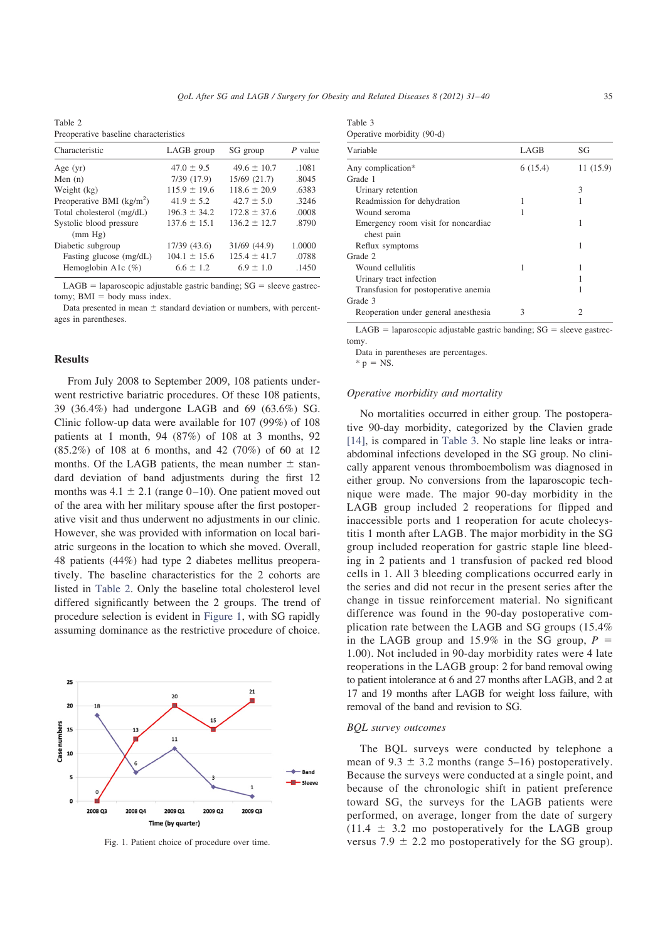Table 2 Preoperative baseline characteristics

| Characteristic             | LAGB group       | SG group         | $P$ value |
|----------------------------|------------------|------------------|-----------|
| Age $(yr)$                 | $47.0 \pm 9.5$   | $49.6 \pm 10.7$  | .1081     |
| Men $(n)$                  | 7/39 (17.9)      | 15/69 (21.7)     | .8045     |
| Weight (kg)                | $115.9 \pm 19.6$ | $118.6 \pm 20.9$ | .6383     |
| Preoperative BMI $(kg/m2)$ | $41.9 \pm 5.2$   | $42.7 + 5.0$     | .3246     |
| Total cholesterol (mg/dL)  | $196.3 \pm 34.2$ | $172.8 \pm 37.6$ | .0008     |
| Systolic blood pressure    | $137.6 \pm 15.1$ | $136.2 \pm 12.7$ | .8790     |
| (mm Hg)                    |                  |                  |           |
| Diabetic subgroup          | 17/39 (43.6)     | 31/69 (44.9)     | 1.0000    |
| Fasting glucose (mg/dL)    | $104.1 \pm 15.6$ | $125.4 \pm 41.7$ | .0788     |
| Hemoglobin A1 $c$ (%)      | $6.6 \pm 1.2$    | $6.9 \pm 1.0$    | .1450     |
|                            |                  |                  |           |

 $LAGB = laparoscopic adjustable gastric banding; SG = sleeve gastree$ tomy;  $BMI = body$  mass index.

Data presented in mean  $\pm$  standard deviation or numbers, with percentages in parentheses.

# **Results**

From July 2008 to September 2009, 108 patients underwent restrictive bariatric procedures. Of these 108 patients, 39 (36.4%) had undergone LAGB and 69 (63.6%) SG. Clinic follow-up data were available for 107 (99%) of 108 patients at 1 month, 94 (87%) of 108 at 3 months, 92 (85.2%) of 108 at 6 months, and 42 (70%) of 60 at 12 months. Of the LAGB patients, the mean number  $\pm$  standard deviation of band adjustments during the first 12 months was  $4.1 \pm 2.1$  (range 0–10). One patient moved out of the area with her military spouse after the first postoperative visit and thus underwent no adjustments in our clinic. However, she was provided with information on local bariatric surgeons in the location to which she moved. Overall, 48 patients (44%) had type 2 diabetes mellitus preoperatively. The baseline characteristics for the 2 cohorts are listed in Table 2. Only the baseline total cholesterol level differed significantly between the 2 groups. The trend of procedure selection is evident in Figure 1, with SG rapidly assuming dominance as the restrictive procedure of choice.



Fig. 1. Patient choice of procedure over time.

| Table 3 |                            |  |
|---------|----------------------------|--|
|         | Operative morbidity (90-d) |  |

| Variable                             | LAGB    | SG       |
|--------------------------------------|---------|----------|
| Any complication*                    | 6(15.4) | 11(15.9) |
| Grade 1                              |         |          |
| Urinary retention                    |         | 3        |
| Readmission for dehydration          |         |          |
| Wound seroma                         |         |          |
| Emergency room visit for noncardiac  |         | 1        |
| chest pain                           |         |          |
| Reflux symptoms                      |         |          |
| Grade 2                              |         |          |
| Wound cellulitis                     | 1       |          |
| Urinary tract infection              |         |          |
| Transfusion for postoperative anemia |         |          |
| Grade 3                              |         |          |
| Reoperation under general anesthesia | 3       | 2        |

 $LAGB =$  laparoscopic adjustable gastric banding;  $SG =$  sleeve gastrectomy.

Data in parentheses are percentages.

 $* p = NS.$ 

# *Operative morbidity and mortality*

No mortalities occurred in either group. The postoperative 90-day morbidity, categorized by the Clavien grade [14], is compared in Table 3. No staple line leaks or intraabdominal infections developed in the SG group. No clinically apparent venous thromboembolism was diagnosed in either group. No conversions from the laparoscopic technique were made. The major 90-day morbidity in the LAGB group included 2 reoperations for flipped and inaccessible ports and 1 reoperation for acute cholecystitis 1 month after LAGB. The major morbidity in the SG group included reoperation for gastric staple line bleeding in 2 patients and 1 transfusion of packed red blood cells in 1. All 3 bleeding complications occurred early in the series and did not recur in the present series after the change in tissue reinforcement material. No significant difference was found in the 90-day postoperative complication rate between the LAGB and SG groups (15.4% in the LAGB group and 15.9% in the SG group,  $P =$ 1.00). Not included in 90-day morbidity rates were 4 late reoperations in the LAGB group: 2 for band removal owing to patient intolerance at 6 and 27 months after LAGB, and 2 at 17 and 19 months after LAGB for weight loss failure, with removal of the band and revision to SG.

## *BQL survey outcomes*

The BQL surveys were conducted by telephone a mean of  $9.3 \pm 3.2$  months (range 5–16) postoperatively. Because the surveys were conducted at a single point, and because of the chronologic shift in patient preference toward SG, the surveys for the LAGB patients were performed, on average, longer from the date of surgery  $(11.4 \pm 3.2 \text{ mo postoperatively for the LAGB group})$ versus 7.9  $\pm$  2.2 mo postoperatively for the SG group).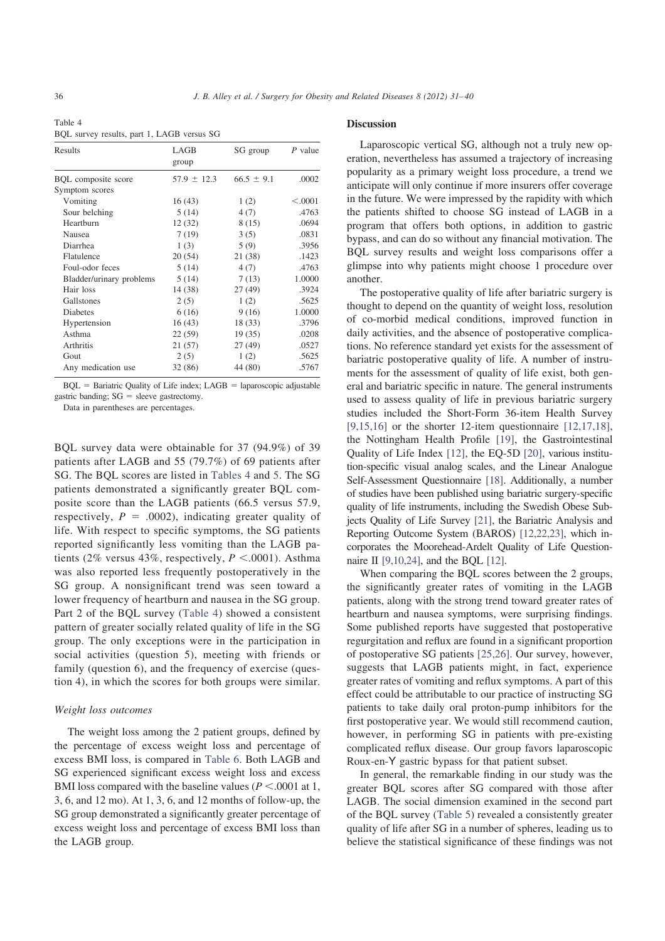| Table 4                                    |  |  |  |
|--------------------------------------------|--|--|--|
| BQL survey results, part 1, LAGB versus SG |  |  |  |

| Results                  | LAGB<br>group   | SG group       | P value  |
|--------------------------|-----------------|----------------|----------|
| BQL composite score      | $57.9 \pm 12.3$ | $66.5 \pm 9.1$ | .0002    |
| Symptom scores           |                 |                |          |
| Vomiting                 | 16(43)          | 1(2)           | < 0.0001 |
| Sour belching            | 5(14)           | 4(7)           | .4763    |
| Heartburn                | 12(32)          | 8 (15)         | .0694    |
| Nausea                   | 7(19)           | 3(5)           | .0831    |
| Diarrhea                 | 1(3)            | 5(9)           | .3956    |
| Flatulence               | 20(54)          | 21 (38)        | .1423    |
| Foul-odor feces          | 5(14)           | 4(7)           | .4763    |
| Bladder/urinary problems | 5(14)           | 7(13)          | 1.0000   |
| Hair loss                | 14 (38)         | 27(49)         | .3924    |
| Gallstones               | 2(5)            | 1(2)           | .5625    |
| <b>Diabetes</b>          | 6(16)           | 9(16)          | 1.0000   |
| Hypertension             | 16(43)          | 18 (33)        | .3796    |
| Asthma                   | 22(59)          | 19(35)         | .0208    |
| Arthritis                | 21 (57)         | 27(49)         | .0527    |
| Gout                     | 2(5)            | 1(2)           | .5625    |
| Any medication use       | 32 (86)         | 44 (80)        | .5767    |

 $BQL =$  Bariatric Quality of Life index;  $LAGB =$  laparoscopic adjustable gastric banding;  $SG =$  sleeve gastrectomy.

Data in parentheses are percentages.

BQL survey data were obtainable for 37 (94.9%) of 39 patients after LAGB and 55 (79.7%) of 69 patients after SG. The BQL scores are listed in Tables 4 and 5. The SG patients demonstrated a significantly greater BQL composite score than the LAGB patients (66.5 versus 57.9, respectively,  $P = .0002$ ), indicating greater quality of life. With respect to specific symptoms, the SG patients reported significantly less vomiting than the LAGB patients (2% versus 43%, respectively,  $P \leq .0001$ ). Asthma was also reported less frequently postoperatively in the SG group. A nonsignificant trend was seen toward a lower frequency of heartburn and nausea in the SG group. Part 2 of the BQL survey (Table 4) showed a consistent pattern of greater socially related quality of life in the SG group. The only exceptions were in the participation in social activities (question 5), meeting with friends or family (question 6), and the frequency of exercise (question 4), in which the scores for both groups were similar.

#### *Weight loss outcomes*

The weight loss among the 2 patient groups, defined by the percentage of excess weight loss and percentage of excess BMI loss, is compared in Table 6. Both LAGB and SG experienced significant excess weight loss and excess BMI loss compared with the baseline values ( $P < .0001$  at 1, 3, 6, and 12 mo). At 1, 3, 6, and 12 months of follow-up, the SG group demonstrated a significantly greater percentage of excess weight loss and percentage of excess BMI loss than the LAGB group.

#### **Discussion**

Laparoscopic vertical SG, although not a truly new operation, nevertheless has assumed a trajectory of increasing popularity as a primary weight loss procedure, a trend we anticipate will only continue if more insurers offer coverage in the future. We were impressed by the rapidity with which the patients shifted to choose SG instead of LAGB in a program that offers both options, in addition to gastric bypass, and can do so without any financial motivation. The BQL survey results and weight loss comparisons offer a glimpse into why patients might choose 1 procedure over another.

The postoperative quality of life after bariatric surgery is thought to depend on the quantity of weight loss, resolution of co-morbid medical conditions, improved function in daily activities, and the absence of postoperative complications. No reference standard yet exists for the assessment of bariatric postoperative quality of life. A number of instruments for the assessment of quality of life exist, both general and bariatric specific in nature. The general instruments used to assess quality of life in previous bariatric surgery studies included the Short-Form 36-item Health Survey [9,15,16] or the shorter 12-item questionnaire [12,17,18]. the Nottingham Health Profile [19], the Gastrointestinal Quality of Life Index [12], the EQ-5D [20], various institution-specific visual analog scales, and the Linear Analogue Self-Assessment Questionnaire [18]. Additionally, a number of studies have been published using bariatric surgery-specific quality of life instruments, including the Swedish Obese Subjects Quality of Life Survey [21], the Bariatric Analysis and Reporting Outcome System (BAROS) [12,22,23], which incorporates the Moorehead-Ardelt Quality of Life Questionnaire II [9,10,24], and the BQL [12].

When comparing the BQL scores between the 2 groups, the significantly greater rates of vomiting in the LAGB patients, along with the strong trend toward greater rates of heartburn and nausea symptoms, were surprising findings. Some published reports have suggested that postoperative regurgitation and reflux are found in a significant proportion of postoperative SG patients [25,26]. Our survey, however, suggests that LAGB patients might, in fact, experience greater rates of vomiting and reflux symptoms. A part of this effect could be attributable to our practice of instructing SG patients to take daily oral proton-pump inhibitors for the first postoperative year. We would still recommend caution, however, in performing SG in patients with pre-existing complicated reflux disease. Our group favors laparoscopic Roux-en-Y gastric bypass for that patient subset.

In general, the remarkable finding in our study was the greater BQL scores after SG compared with those after LAGB. The social dimension examined in the second part of the BQL survey (Table 5) revealed a consistently greater quality of life after SG in a number of spheres, leading us to believe the statistical significance of these findings was not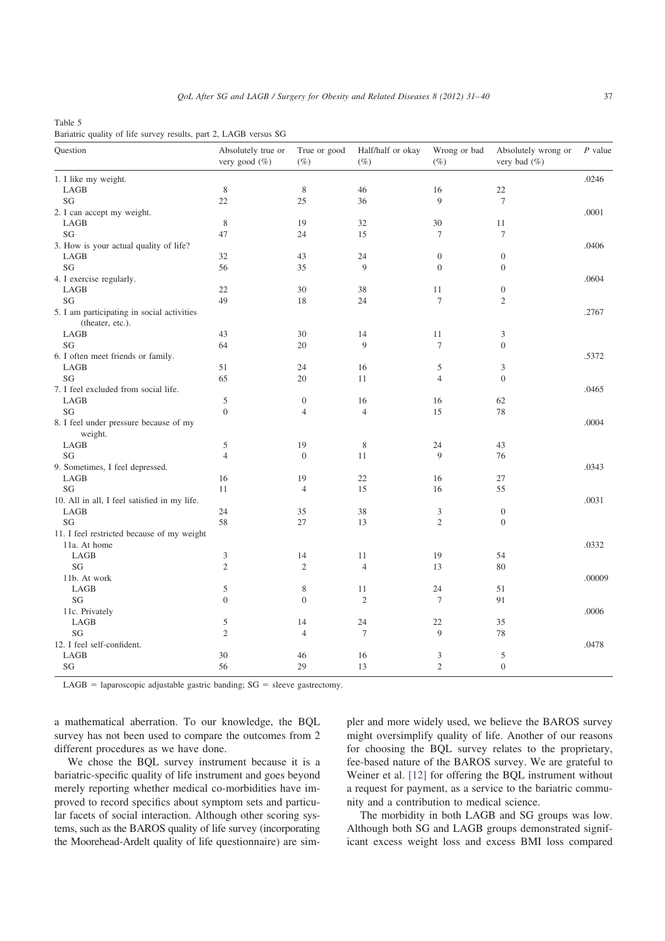| Table 5 |  |  |
|---------|--|--|

Bariatric quality of life survey results, part 2, LAGB versus SG

| Question                                                       | Absolutely true or<br>very good (%) | True or good<br>$(\%)$ | Half/half or okay<br>$(\%)$ | Wrong or bad<br>$(\%)$ | Absolutely wrong or<br>very bad (%) | $P$ value |
|----------------------------------------------------------------|-------------------------------------|------------------------|-----------------------------|------------------------|-------------------------------------|-----------|
| 1. I like my weight.                                           |                                     |                        |                             |                        |                                     | .0246     |
| LAGB                                                           | 8                                   | $\,$ 8 $\,$            | 46                          | 16                     | 22                                  |           |
| SG                                                             | 22                                  | 25                     | 36                          | 9                      | $\tau$                              |           |
| 2. I can accept my weight.                                     |                                     |                        |                             |                        |                                     | .0001     |
| LAGB                                                           | 8                                   | 19                     | 32                          | 30                     | 11                                  |           |
| SG                                                             | 47                                  | 24                     | 15                          | $\tau$                 | $\tau$                              |           |
| 3. How is your actual quality of life?                         |                                     |                        |                             |                        |                                     | .0406     |
| LAGB                                                           | 32                                  | 43                     | 24                          | $\mathbf{0}$           | $\boldsymbol{0}$                    |           |
| SG                                                             | 56                                  | 35                     | $\mathbf Q$                 | $\overline{0}$         | $\boldsymbol{0}$                    |           |
| 4. I exercise regularly.                                       |                                     |                        |                             |                        |                                     | .0604     |
| LAGB                                                           | 22                                  | 30                     | 38                          | 11                     | $\boldsymbol{0}$                    |           |
| SG                                                             | 49                                  | 18                     | 24                          | $\overline{7}$         | $\overline{2}$                      |           |
| 5. I am participating in social activities<br>(theater, etc.). |                                     |                        |                             |                        |                                     | .2767     |
| LAGB                                                           | 43                                  | 30                     | 14                          | 11                     | 3                                   |           |
| SG                                                             | 64                                  | 20                     | 9                           | $7\phantom{.0}$        | $\mathbf{0}$                        |           |
| 6. I often meet friends or family.                             |                                     |                        |                             |                        |                                     | .5372     |
| LAGB                                                           | 51                                  | 24                     | 16                          | 5                      | 3                                   |           |
| SG                                                             | 65                                  | 20                     | 11                          | $\overline{4}$         | $\mathbf{0}$                        |           |
| 7. I feel excluded from social life.                           |                                     |                        |                             |                        |                                     | .0465     |
| LAGB                                                           | 5                                   | $\boldsymbol{0}$       | 16                          | 16                     | 62                                  |           |
| SG                                                             | $\boldsymbol{0}$                    | 4                      | $\overline{4}$              | 15                     | 78                                  |           |
| 8. I feel under pressure because of my<br>weight.              |                                     |                        |                             |                        |                                     | .0004     |
| LAGB                                                           | 5                                   | 19                     | 8                           | 24                     | 43                                  |           |
| SG                                                             | $\overline{4}$                      | $\mathbf{0}$           | 11                          | 9                      | 76                                  |           |
| 9. Sometimes, I feel depressed.                                |                                     |                        |                             |                        |                                     | .0343     |
| LAGB                                                           | 16                                  | 19                     | 22                          | 16                     | 27                                  |           |
| SG                                                             | 11                                  | $\overline{4}$         | 15                          | 16                     | 55                                  |           |
| 10. All in all, I feel satisfied in my life.                   |                                     |                        |                             |                        |                                     | .0031     |
| LAGB                                                           | 24                                  | 35                     | 38                          | 3                      | $\mathbf{0}$                        |           |
| SG                                                             | 58                                  | 27                     | 13                          | $\overline{2}$         | $\mathbf{0}$                        |           |
| 11. I feel restricted because of my weight                     |                                     |                        |                             |                        |                                     |           |
| 11a. At home                                                   |                                     |                        |                             |                        |                                     | .0332     |
| LAGB                                                           | $\ensuremath{\mathfrak{Z}}$         | 14                     | 11                          | 19                     | 54                                  |           |
| SG                                                             | $\overline{2}$                      | $\overline{2}$         | $\overline{4}$              | 13                     | 80                                  |           |
| 11b. At work                                                   |                                     |                        |                             |                        |                                     | .00009    |
| LAGB                                                           | 5                                   | 8                      | 11                          | 24                     | 51                                  |           |
| SG                                                             | $\boldsymbol{0}$                    | $\mathbf{0}$           | $\mathfrak{2}$              | $\tau$                 | 91                                  |           |
| 11c. Privately                                                 |                                     |                        |                             |                        |                                     | .0006     |
| LAGB                                                           | 5                                   | 14                     | 24                          | 22                     | 35                                  |           |
| SG                                                             | $\overline{2}$                      | $\overline{4}$         | $\overline{7}$              | $\overline{Q}$         | 78                                  |           |
| 12. I feel self-confident.                                     |                                     |                        |                             |                        |                                     | .0478     |
| LAGB                                                           | 30                                  | 46                     | 16                          | 3                      | 5                                   |           |
| SG                                                             | 56                                  | 29                     | 13                          | $\overline{2}$         | $\boldsymbol{0}$                    |           |

 $LAGB = laparoscopic$  adjustable gastric banding;  $SG =$  sleeve gastrectomy.

a mathematical aberration. To our knowledge, the BQL survey has not been used to compare the outcomes from 2 different procedures as we have done.

We chose the BQL survey instrument because it is a bariatric-specific quality of life instrument and goes beyond merely reporting whether medical co-morbidities have improved to record specifics about symptom sets and particular facets of social interaction. Although other scoring systems, such as the BAROS quality of life survey (incorporating the Moorehead-Ardelt quality of life questionnaire) are simpler and more widely used, we believe the BAROS survey might oversimplify quality of life. Another of our reasons for choosing the BQL survey relates to the proprietary, fee-based nature of the BAROS survey. We are grateful to Weiner et al. [12] for offering the BQL instrument without a request for payment, as a service to the bariatric community and a contribution to medical science.

The morbidity in both LAGB and SG groups was low. Although both SG and LAGB groups demonstrated significant excess weight loss and excess BMI loss compared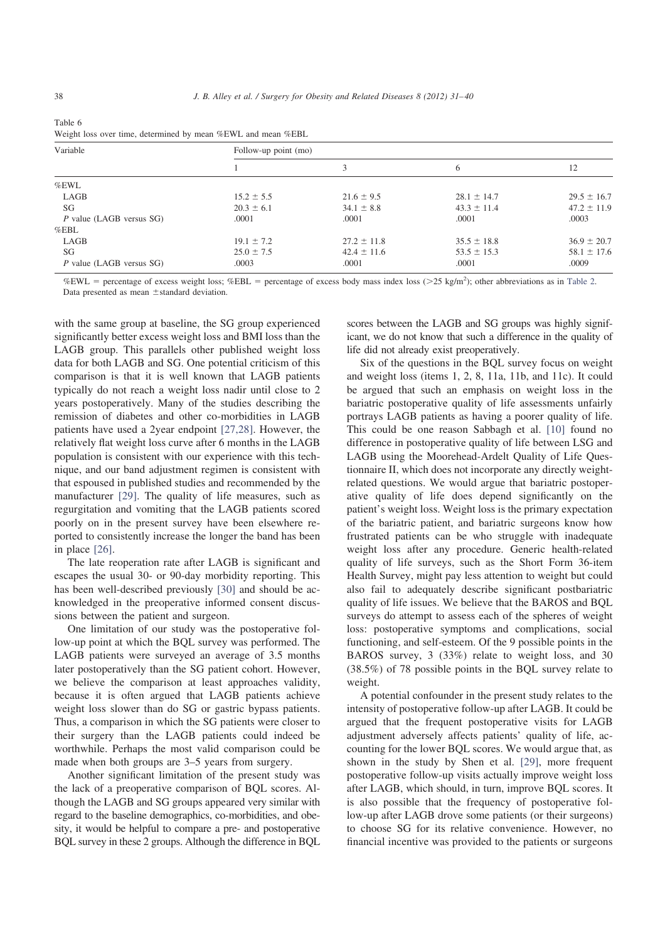| Variable                 | Follow-up point (mo) |                 |                 |                 |  |  |  |
|--------------------------|----------------------|-----------------|-----------------|-----------------|--|--|--|
|                          |                      | 3               | 6               | 12              |  |  |  |
| %EWL                     |                      |                 |                 |                 |  |  |  |
| LAGB                     | $15.2 \pm 5.5$       | $21.6 \pm 9.5$  | $28.1 \pm 14.7$ | $29.5 \pm 16.7$ |  |  |  |
| SG                       | $20.3 \pm 6.1$       | $34.1 \pm 8.8$  | $43.3 \pm 11.4$ | $47.2 \pm 11.9$ |  |  |  |
| P value (LAGB versus SG) | .0001                | .0001           | .0001           | .0003           |  |  |  |
| %EBL                     |                      |                 |                 |                 |  |  |  |
| LAGB                     | $19.1 \pm 7.2$       | $27.2 \pm 11.8$ | $35.5 \pm 18.8$ | $36.9 \pm 20.7$ |  |  |  |
| SG                       | $25.0 \pm 7.5$       | $42.4 \pm 11.6$ | $53.5 \pm 15.3$ | $58.1 \pm 17.6$ |  |  |  |
| P value (LAGB versus SG) | .0003                | .0001           | .0001           | .0009           |  |  |  |

| Table 6                                                      |  |  |  |  |
|--------------------------------------------------------------|--|--|--|--|
| Weight loss over time, determined by mean %EWL and mean %EBL |  |  |  |  |

%EWL = percentage of excess weight loss; %EBL = percentage of excess body mass index loss (>25 kg/m<sup>2</sup>); other abbreviations as in Table 2. Data presented as mean  $\pm$ standard deviation.

with the same group at baseline, the SG group experienced significantly better excess weight loss and BMI loss than the LAGB group. This parallels other published weight loss data for both LAGB and SG. One potential criticism of this comparison is that it is well known that LAGB patients typically do not reach a weight loss nadir until close to 2 years postoperatively. Many of the studies describing the remission of diabetes and other co-morbidities in LAGB patients have used a 2year endpoint [27,28]. However, the relatively flat weight loss curve after 6 months in the LAGB population is consistent with our experience with this technique, and our band adjustment regimen is consistent with that espoused in published studies and recommended by the manufacturer [29]. The quality of life measures, such as regurgitation and vomiting that the LAGB patients scored poorly on in the present survey have been elsewhere reported to consistently increase the longer the band has been in place [26].

The late reoperation rate after LAGB is significant and escapes the usual 30- or 90-day morbidity reporting. This has been well-described previously [30] and should be acknowledged in the preoperative informed consent discussions between the patient and surgeon.

One limitation of our study was the postoperative follow-up point at which the BQL survey was performed. The LAGB patients were surveyed an average of 3.5 months later postoperatively than the SG patient cohort. However, we believe the comparison at least approaches validity, because it is often argued that LAGB patients achieve weight loss slower than do SG or gastric bypass patients. Thus, a comparison in which the SG patients were closer to their surgery than the LAGB patients could indeed be worthwhile. Perhaps the most valid comparison could be made when both groups are 3–5 years from surgery.

Another significant limitation of the present study was the lack of a preoperative comparison of BQL scores. Although the LAGB and SG groups appeared very similar with regard to the baseline demographics, co-morbidities, and obesity, it would be helpful to compare a pre- and postoperative BQL survey in these 2 groups. Although the difference in BQL scores between the LAGB and SG groups was highly significant, we do not know that such a difference in the quality of life did not already exist preoperatively.

Six of the questions in the BQL survey focus on weight and weight loss (items 1, 2, 8, 11a, 11b, and 11c). It could be argued that such an emphasis on weight loss in the bariatric postoperative quality of life assessments unfairly portrays LAGB patients as having a poorer quality of life. This could be one reason Sabbagh et al. [10] found no difference in postoperative quality of life between LSG and LAGB using the Moorehead-Ardelt Quality of Life Questionnaire II, which does not incorporate any directly weightrelated questions. We would argue that bariatric postoperative quality of life does depend significantly on the patient's weight loss. Weight loss is the primary expectation of the bariatric patient, and bariatric surgeons know how frustrated patients can be who struggle with inadequate weight loss after any procedure. Generic health-related quality of life surveys, such as the Short Form 36-item Health Survey, might pay less attention to weight but could also fail to adequately describe significant postbariatric quality of life issues. We believe that the BAROS and BQL surveys do attempt to assess each of the spheres of weight loss: postoperative symptoms and complications, social functioning, and self-esteem. Of the 9 possible points in the BAROS survey, 3 (33%) relate to weight loss, and 30 (38.5%) of 78 possible points in the BQL survey relate to weight.

A potential confounder in the present study relates to the intensity of postoperative follow-up after LAGB. It could be argued that the frequent postoperative visits for LAGB adjustment adversely affects patients' quality of life, accounting for the lower BQL scores. We would argue that, as shown in the study by Shen et al. [29], more frequent postoperative follow-up visits actually improve weight loss after LAGB, which should, in turn, improve BQL scores. It is also possible that the frequency of postoperative follow-up after LAGB drove some patients (or their surgeons) to choose SG for its relative convenience. However, no financial incentive was provided to the patients or surgeons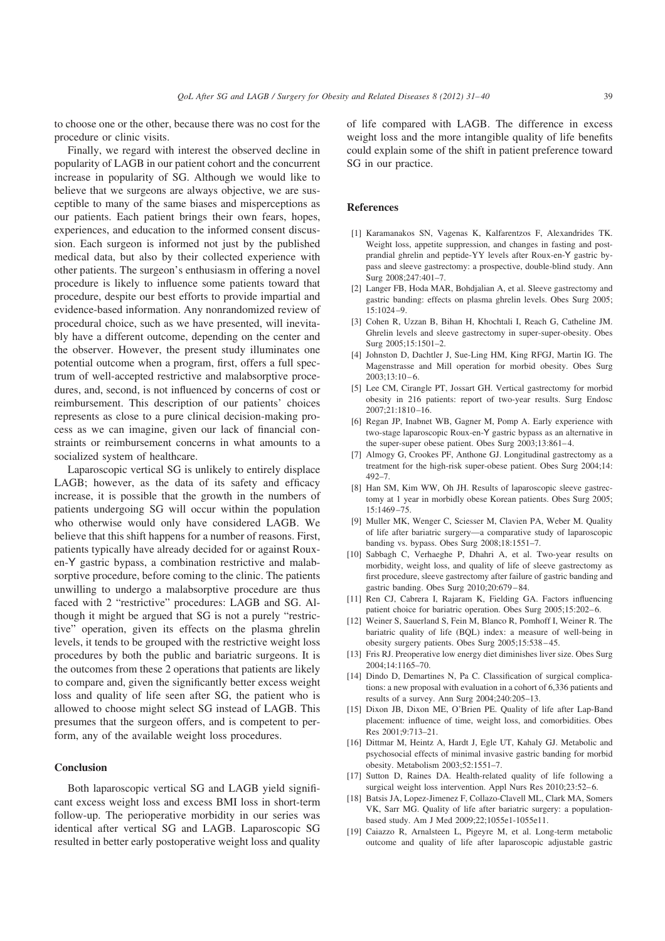to choose one or the other, because there was no cost for the procedure or clinic visits.

Finally, we regard with interest the observed decline in popularity of LAGB in our patient cohort and the concurrent increase in popularity of SG. Although we would like to believe that we surgeons are always objective, we are susceptible to many of the same biases and misperceptions as our patients. Each patient brings their own fears, hopes, experiences, and education to the informed consent discussion. Each surgeon is informed not just by the published medical data, but also by their collected experience with other patients. The surgeon's enthusiasm in offering a novel procedure is likely to influence some patients toward that procedure, despite our best efforts to provide impartial and evidence-based information. Any nonrandomized review of procedural choice, such as we have presented, will inevitably have a different outcome, depending on the center and the observer. However, the present study illuminates one potential outcome when a program, first, offers a full spectrum of well-accepted restrictive and malabsorptive procedures, and, second, is not influenced by concerns of cost or reimbursement. This description of our patients' choices represents as close to a pure clinical decision-making process as we can imagine, given our lack of financial constraints or reimbursement concerns in what amounts to a socialized system of healthcare.

Laparoscopic vertical SG is unlikely to entirely displace LAGB; however, as the data of its safety and efficacy increase, it is possible that the growth in the numbers of patients undergoing SG will occur within the population who otherwise would only have considered LAGB. We believe that this shift happens for a number of reasons. First, patients typically have already decided for or against Rouxen-Y gastric bypass, a combination restrictive and malabsorptive procedure, before coming to the clinic. The patients unwilling to undergo a malabsorptive procedure are thus faced with 2 "restrictive" procedures: LAGB and SG. Although it might be argued that SG is not a purely "restrictive" operation, given its effects on the plasma ghrelin levels, it tends to be grouped with the restrictive weight loss procedures by both the public and bariatric surgeons. It is the outcomes from these 2 operations that patients are likely to compare and, given the significantly better excess weight loss and quality of life seen after SG, the patient who is allowed to choose might select SG instead of LAGB. This presumes that the surgeon offers, and is competent to perform, any of the available weight loss procedures.

# **Conclusion**

Both laparoscopic vertical SG and LAGB yield significant excess weight loss and excess BMI loss in short-term follow-up. The perioperative morbidity in our series was identical after vertical SG and LAGB. Laparoscopic SG resulted in better early postoperative weight loss and quality of life compared with LAGB. The difference in excess weight loss and the more intangible quality of life benefits could explain some of the shift in patient preference toward SG in our practice.

# **References**

- [1] Karamanakos SN, Vagenas K, Kalfarentzos F, Alexandrides TK. Weight loss, appetite suppression, and changes in fasting and postprandial ghrelin and peptide-YY levels after Roux-en-Y gastric bypass and sleeve gastrectomy: a prospective, double-blind study. Ann Surg 2008;247:401–7.
- [2] Langer FB, Hoda MAR, Bohdjalian A, et al. Sleeve gastrectomy and gastric banding: effects on plasma ghrelin levels. Obes Surg 2005;  $15:1024 - 9$ .
- [3] Cohen R, Uzzan B, Bihan H, Khochtali I, Reach G, Catheline JM. Ghrelin levels and sleeve gastrectomy in super-super-obesity. Obes Surg 2005;15:1501–2.
- [4] Johnston D, Dachtler J, Sue-Ling HM, King RFGJ, Martin IG. The Magenstrasse and Mill operation for morbid obesity. Obes Surg  $2003:13:10-6$ .
- [5] Lee CM, Cirangle PT, Jossart GH. Vertical gastrectomy for morbid obesity in 216 patients: report of two-year results. Surg Endosc 2007;21:1810 –16.
- [6] Regan JP, Inabnet WB, Gagner M, Pomp A. Early experience with two-stage laparoscopic Roux-en-Y gastric bypass as an alternative in the super-super obese patient. Obes Surg 2003;13:861-4.
- [7] Almogy G, Crookes PF, Anthone GJ. Longitudinal gastrectomy as a treatment for the high-risk super-obese patient. Obes Surg 2004;14: 492–7.
- [8] Han SM, Kim WW, Oh JH. Results of laparoscopic sleeve gastrectomy at 1 year in morbidly obese Korean patients. Obes Surg 2005;  $15:1469 - 75$ .
- [9] Muller MK, Wenger C, Sciesser M, Clavien PA, Weber M. Quality of life after bariatric surgery—a comparative study of laparoscopic banding vs. bypass. Obes Surg 2008;18:1551–7.
- [10] Sabbagh C, Verhaeghe P, Dhahri A, et al. Two-year results on morbidity, weight loss, and quality of life of sleeve gastrectomy as first procedure, sleeve gastrectomy after failure of gastric banding and gastric banding. Obes Surg 2010;20:679 – 84.
- [11] Ren CJ, Cabrera I, Rajaram K, Fielding GA. Factors influencing patient choice for bariatric operation. Obes Surg 2005;15:202-6.
- [12] Weiner S, Sauerland S, Fein M, Blanco R, Pomhoff I, Weiner R. The bariatric quality of life (BQL) index: a measure of well-being in obesity surgery patients. Obes Surg 2005;15:538 – 45.
- [13] Fris RJ. Preoperative low energy diet diminishes liver size. Obes Surg 2004;14:1165–70.
- [14] Dindo D, Demartines N, Pa C. Classification of surgical complications: a new proposal with evaluation in a cohort of 6,336 patients and results of a survey. Ann Surg 2004;240:205–13.
- [15] Dixon JB, Dixon ME, O'Brien PE. Quality of life after Lap-Band placement: influence of time, weight loss, and comorbidities. Obes Res 2001;9:713–21.
- [16] Dittmar M, Heintz A, Hardt J, Egle UT, Kahaly GJ. Metabolic and psychosocial effects of minimal invasive gastric banding for morbid obesity. Metabolism 2003;52:1551–7.
- [17] Sutton D, Raines DA. Health-related quality of life following a surgical weight loss intervention. Appl Nurs Res 2010;23:52-6.
- [18] Batsis JA, Lopez-Jimenez F, Collazo-Clavell ML, Clark MA, Somers VK, Sarr MG. Quality of life after bariatric surgery: a populationbased study. Am J Med 2009;22;1055e1-1055e11.
- [19] Caiazzo R, Arnalsteen L, Pigeyre M, et al. Long-term metabolic outcome and quality of life after laparoscopic adjustable gastric